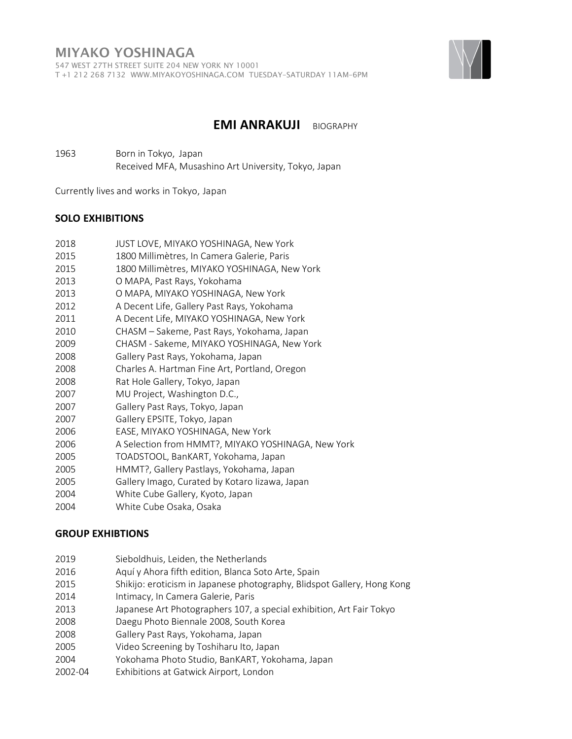

## **EMI ANRAKUJI** BIOGRAPHY

 Born in Tokyo, Japan Received MFA, Musashino Art University, Tokyo, Japan

Currently lives and works in Tokyo, Japan

#### **SOLO EXHIBITIONS**

- 1800 Millimètres, In Camera Galerie, Paris
- 1800 Millimètres, MIYAKO YOSHINAGA, New York
- O MAPA, Past Rays, Yokohama
- O MAPA, MIYAKO YOSHINAGA, New York
- A Decent Life, Gallery Past Rays, Yokohama
- A Decent Life, MIYAKO YOSHINAGA, New York
- 2010 CHASM Sakeme, Past Rays, Yokohama, Japan
- CHASM Sakeme, MIYAKO YOSHINAGA, New York
- Gallery Past Rays, Yokohama, Japan
- Charles A. Hartman Fine Art, Portland, Oregon
- Rat Hole Gallery, Tokyo, Japan
- MU Project, Washington D.C.,
- Gallery Past Rays, Tokyo, Japan
- Gallery EPSITE, Tokyo, Japan
- EASE, MIYAKO YOSHINAGA, New York
- 2006 A Selection from HMMT?, MIYAKO YOSHINAGA, New York
- TOADSTOOL, BanKART, Yokohama, Japan
- HMMT?, Gallery Pastlays, Yokohama, Japan
- Gallery Imago, Curated by Kotaro Iizawa, Japan
- White Cube Gallery, Kyoto, Japan
- White Cube Osaka, Osaka

#### **GROUP EXHIBTIONS**

- Sieboldhuis, Leiden, the Netherlands
- 2016 Aquí y Ahora fifth edition, Blanca Soto Arte, Spain
- Shikijo: eroticism in Japanese photography, Blidspot Gallery, Hong Kong
- Intimacy, In Camera Galerie, Paris
- Japanese Art Photographers 107, a special exhibition, Art Fair Tokyo
- Daegu Photo Biennale 2008, South Korea
- Gallery Past Rays, Yokohama, Japan
- Video Screening by Toshiharu Ito, Japan
- Yokohama Photo Studio, BanKART, Yokohama, Japan
- 2002-04 Exhibitions at Gatwick Airport, London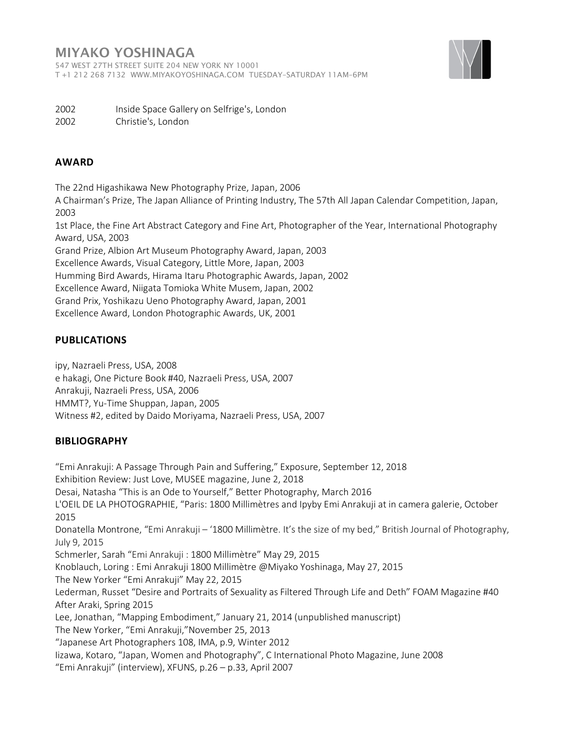## MIYAKO YOSHINAGA

547 WEST 27TH STREET SUITE 204 NEW YORK NY 10001 T +1 212 268 7132 WWW.MIYAKOYOSHINAGA.COM TUESDAY–SATURDAY 11AM–6PM



2002 Inside Space Gallery on Selfrige's, London

2002 Christie's, London

### **AWARD**

The 22nd Higashikawa New Photography Prize, Japan, 2006

A Chairman's Prize, The Japan Alliance of Printing Industry, The 57th All Japan Calendar Competition, Japan, 2003

1st Place, the Fine Art Abstract Category and Fine Art, Photographer of the Year, International Photography Award, USA, 2003

Grand Prize, Albion Art Museum Photography Award, Japan, 2003

Excellence Awards, Visual Category, Little More, Japan, 2003

Humming Bird Awards, Hirama Itaru Photographic Awards, Japan, 2002

Excellence Award, Niigata Tomioka White Musem, Japan, 2002

Grand Prix, Yoshikazu Ueno Photography Award, Japan, 2001

Excellence Award, London Photographic Awards, UK, 2001

### **PUBLICATIONS**

ipy, Nazraeli Press, USA, 2008

e hakagi, One Picture Book #40, Nazraeli Press, USA, 2007 Anrakuji, Nazraeli Press, USA, 2006 HMMT?, Yu-Time Shuppan, Japan, 2005 Witness #2, edited by Daido Moriyama, Nazraeli Press, USA, 2007

### **BIBLIOGRAPHY**

"Emi Anrakuji: A Passage Through Pain and Suffering," Exposure, September 12, 2018 Exhibition Review: Just Love, MUSEE magazine, June 2, 2018 Desai, Natasha "This is an Ode to Yourself," Better Photography, March 2016 L'OEIL DE LA PHOTOGRAPHIE, "Paris: 1800 Millimètres and Ipyby Emi Anrakuji at in camera galerie, October 2015 Donatella Montrone, "Emi Anrakuji – '1800 Millimètre. It's the size of my bed," British Journal of Photography, July 9, 2015 Schmerler, Sarah "Emi Anrakuji : 1800 Millimètre" May 29, 2015 Knoblauch, Loring : Emi Anrakuji 1800 Millimètre @Miyako Yoshinaga, May 27, 2015 The New Yorker "Emi Anrakuji" May 22, 2015 Lederman, Russet "Desire and Portraits of Sexuality as Filtered Through Life and Deth" FOAM Magazine #40 After Araki, Spring 2015 Lee, Jonathan, "Mapping Embodiment," January 21, 2014 (unpublished manuscript) The New Yorker, "Emi Anrakuji,"November 25, 2013 "Japanese Art Photographers 108, IMA, p.9, Winter 2012 Iizawa, Kotaro, "Japan, Women and Photography", C International Photo Magazine, June 2008 "Emi Anrakuji" (interview), XFUNS, p.26 – p.33, April 2007